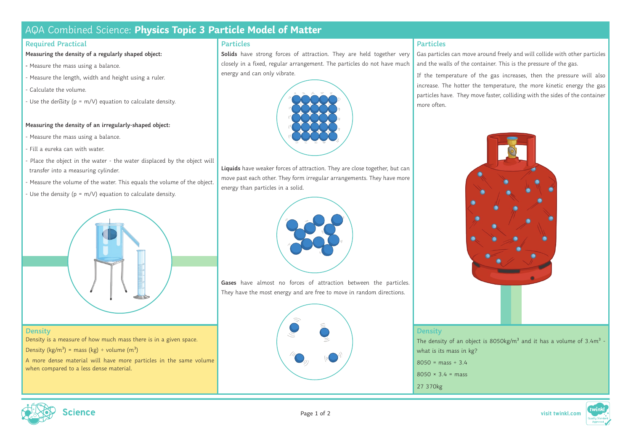# AQA Combined Science: **Physics Topic 3 Particle Model of Matter**

## **Required Practical**

**Measuring the density of a regularly shaped object:**

- Measure the mass using a balance.
- Measure the length, width and height using a ruler.
- Calculate the volume.
- Use the density ( $p = m/V$ ) equation to calculate density.

### **Measuring the density of an irregularly-shaped object:**

- Measure the mass using a balance.
- Fill a eureka can with water.
- Place the object in the water the water displaced by the object will transfer into a measuring cylinder.
- Measure the volume of the water. This equals the volume of the object.
- Use the density ( $p = m/V$ ) equation to calculate density.



**Density** Density is a measure of how much mass there is in a given space. Density (kg/m<sup>3</sup>) = mass (kg) ÷ volume (m<sup>3</sup>)

A more dense material will have more particles in the same volume when compared to a less dense material.

## **Particles**

**Solids** have strong forces of attraction. They are held together very closely in a fixed, regular arrangement. The particles do not have much energy and can only vibrate.



**Liquids** have weaker forces of attraction. They are close together, but can move past each other. They form irregular arrangements. They have more energy than particles in a solid.



**Gases** have almost no forces of attraction between the particles. They have the most energy and are free to move in random directions.



### **Particles**

Gas particles can move around freely and will collide with other particles and the walls of the container. This is the pressure of the gas.

If the temperature of the gas increases, then the pressure will also increase. The hotter the temperature, the more kinetic energy the gas particles have. They move faster, colliding with the sides of the container more often.



The density of an object is  $8050$ kg/m<sup>3</sup> and it has a volume of 3.4m<sup>3</sup> what is its mass in kg?

- $8050 = \text{mass} \div 3.4$
- $8050 \times 34 = \text{mass}$
- 27 370kg

**Density**





Page 1 of 2 **visit twinkl.com**